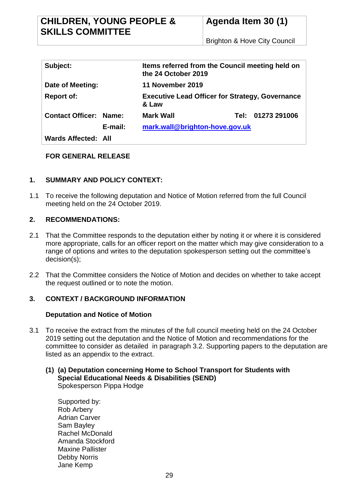| Subject:                      |                                           | Items referred from the Council meeting held on<br>the 24 October 2019 |        |              |
|-------------------------------|-------------------------------------------|------------------------------------------------------------------------|--------|--------------|
| Date of Meeting:              |                                           | <b>11 November 2019</b>                                                |        |              |
| <b>Report of:</b>             |                                           | <b>Executive Lead Officer for Strategy, Governance</b><br>& Law        |        |              |
| <b>Contact Officer: Name:</b> |                                           | <b>Mark Wall</b>                                                       | Tel: I | 01273 291006 |
|                               | mark.wall@brighton-hove.gov.uk<br>E-mail: |                                                                        |        |              |
| Wards Affected: All           |                                           |                                                                        |        |              |

# **FOR GENERAL RELEASE**

# **1. SUMMARY AND POLICY CONTEXT:**

1.1 To receive the following deputation and Notice of Motion referred from the full Council meeting held on the 24 October 2019.

## **2. RECOMMENDATIONS:**

- 2.1 That the Committee responds to the deputation either by noting it or where it is considered more appropriate, calls for an officer report on the matter which may give consideration to a range of options and writes to the deputation spokesperson setting out the committee's decision(s);
- 2.2 That the Committee considers the Notice of Motion and decides on whether to take accept the request outlined or to note the motion.

# **3. CONTEXT / BACKGROUND INFORMATION**

## **Deputation and Notice of Motion**

- 3.1 To receive the extract from the minutes of the full council meeting held on the 24 October 2019 setting out the deputation and the Notice of Motion and recommendations for the committee to consider as detailed in paragraph 3.2. Supporting papers to the deputation are listed as an appendix to the extract.
	- **(1) (a) Deputation concerning Home to School Transport for Students with Special Educational Needs & Disabilities (SEND)** Spokesperson Pippa Hodge

Supported by: Rob Arbery Adrian Carver Sam Bayley Rachel McDonald Amanda Stockford Maxine Pallister Debby Norris Jane Kemp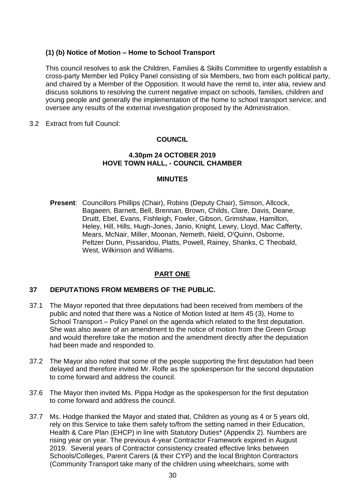# **(1) (b) Notice of Motion – Home to School Transport**

This council resolves to ask the Children, Families & Skills Committee to urgently establish a cross-party Member led Policy Panel consisting of six Members, two from each political party, and chaired by a Member of the Opposition. It would have the remit to, inter alia, review and discuss solutions to resolving the current negative impact on schools, families, children and young people and generally the implementation of the home to school transport service; and oversee any results of the external investigation proposed by the Administration.

3.2 Extract from full Council:

# **COUNCIL**

## **4.30pm 24 OCTOBER 2019 HOVE TOWN HALL, - COUNCIL CHAMBER**

#### **MINUTES**

**Present**: Councillors Phillips (Chair), Robins (Deputy Chair), Simson, Allcock, Bagaeen, Barnett, Bell, Brennan, Brown, Childs, Clare, Davis, Deane, Druitt, Ebel, Evans, Fishleigh, Fowler, Gibson, Grimshaw, Hamilton, Heley, Hill, Hills, Hugh-Jones, Janio, Knight, Lewry, Lloyd, Mac Cafferty, Mears, McNair, Miller, Moonan, Nemeth, Nield, O'Quinn, Osborne, Peltzer Dunn, Pissaridou, Platts, Powell, Rainey, Shanks, C Theobald, West, Wilkinson and Williams.

# **PART ONE**

## **37 DEPUTATIONS FROM MEMBERS OF THE PUBLIC.**

- 37.1 The Mayor reported that three deputations had been received from members of the public and noted that there was a Notice of Motion listed at Item 45 (3), Home to School Transport – Policy Panel on the agenda which related to the first deputation. She was also aware of an amendment to the notice of motion from the Green Group and would therefore take the motion and the amendment directly after the deputation had been made and responded to.
- 37.2 The Mayor also noted that some of the people supporting the first deputation had been delayed and therefore invited Mr. Rolfe as the spokesperson for the second deputation to come forward and address the council.
- 37.6 The Mayor then invited Ms. Pippa Hodge as the spokesperson for the first deputation to come forward and address the council.
- 37.7 Ms. Hodge thanked the Mayor and stated that, Children as young as 4 or 5 years old, rely on this Service to take them safely to/from the setting named in their Education, Health & Care Plan (EHCP) in line with Statutory Duties\* (Appendix 2). Numbers are rising year on year. The previous 4-year Contractor Framework expired in August 2019. Several years of Contractor consistency created effective links between Schools/Colleges, Parent Carers (& their CYP) and the local Brighton Contractors (Community Transport take many of the children using wheelchairs, some with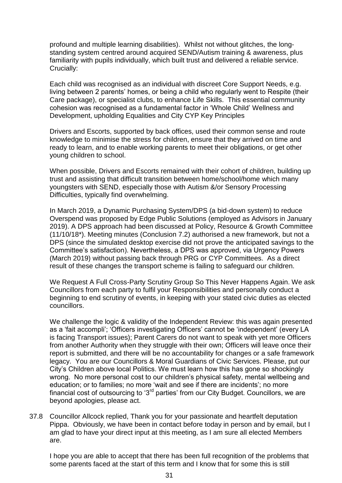profound and multiple learning disabilities). Whilst not without glitches, the longstanding system centred around acquired SEND/Autism training & awareness, plus familiarity with pupils individually, which built trust and delivered a reliable service. Crucially:

Each child was recognised as an individual with discreet Core Support Needs, e.g. living between 2 parents' homes, or being a child who regularly went to Respite (their Care package), or specialist clubs, to enhance Life Skills. This essential community cohesion was recognised as a fundamental factor in 'Whole Child' Wellness and Development, upholding Equalities and City CYP Key Principles

Drivers and Escorts, supported by back offices, used their common sense and route knowledge to minimise the stress for children, ensure that they arrived on time and ready to learn, and to enable working parents to meet their obligations, or get other young children to school.

When possible, Drivers and Escorts remained with their cohort of children, building up trust and assisting that difficult transition between home/school/home which many youngsters with SEND, especially those with Autism &/or Sensory Processing Difficulties, typically find overwhelming.

In March 2019, a Dynamic Purchasing System/DPS (a bid-down system) to reduce Overspend was proposed by Edge Public Solutions (employed as Advisors in January 2019). A DPS approach had been discussed at Policy, Resource & Growth Committee (11/10/18\*). Meeting minutes (Conclusion 7.2) authorised a new framework, but not a DPS (since the simulated desktop exercise did not prove the anticipated savings to the Committee's satisfaction). Nevertheless, a DPS was approved, via Urgency Powers (March 2019) without passing back through PRG or CYP Committees. As a direct result of these changes the transport scheme is failing to safeguard our children.

We Request A Full Cross-Party Scrutiny Group So This Never Happens Again. We ask Councillors from each party to fulfil your Responsibilities and personally conduct a beginning to end scrutiny of events, in keeping with your stated civic duties as elected councillors.

We challenge the logic & validity of the Independent Review: this was again presented as a 'fait accompli'; 'Officers investigating Officers' cannot be 'independent' (every LA is facing Transport issues); Parent Carers do not want to speak with yet more Officers from another Authority when they struggle with their own; Officers will leave once their report is submitted, and there will be no accountability for changes or a safe framework legacy. You are our Councillors & Moral Guardians of Civic Services. Please, put our City's Children above local Politics. We must learn how this has gone so shockingly wrong. No more personal cost to our children's physical safety, mental wellbeing and education; or to families; no more 'wait and see if there are incidents'; no more financial cost of outsourcing to '3<sup>rd</sup> parties' from our City Budget. Councillors, we are beyond apologies, please act.

37.8 Councillor Allcock replied, Thank you for your passionate and heartfelt deputation Pippa. Obviously, we have been in contact before today in person and by email, but I am glad to have your direct input at this meeting, as I am sure all elected Members are.

I hope you are able to accept that there has been full recognition of the problems that some parents faced at the start of this term and I know that for some this is still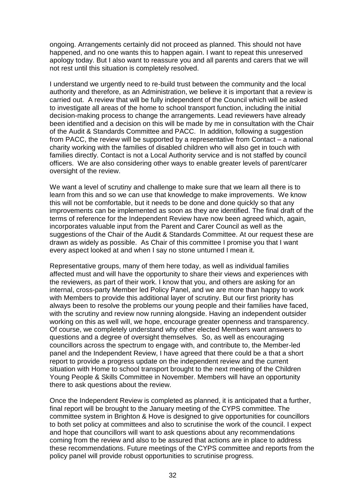ongoing. Arrangements certainly did not proceed as planned. This should not have happened, and no one wants this to happen again. I want to repeat this unreserved apology today. But I also want to reassure you and all parents and carers that we will not rest until this situation is completely resolved.

I understand we urgently need to re-build trust between the community and the local authority and therefore, as an Administration, we believe it is important that a review is carried out. A review that will be fully independent of the Council which will be asked to investigate all areas of the home to school transport function, including the initial decision-making process to change the arrangements. Lead reviewers have already been identified and a decision on this will be made by me in consultation with the Chair of the Audit & Standards Committee and PACC. In addition, following a suggestion from PACC, the review will be supported by a representative from Contact – a national charity working with the families of disabled children who will also get in touch with families directly. Contact is not a Local Authority service and is not staffed by council officers. We are also considering other ways to enable greater levels of parent/carer oversight of the review.

We want a level of scrutiny and challenge to make sure that we learn all there is to learn from this and so we can use that knowledge to make improvements. We know this will not be comfortable, but it needs to be done and done quickly so that any improvements can be implemented as soon as they are identified. The final draft of the terms of reference for the Independent Review have now been agreed which, again, incorporates valuable input from the Parent and Carer Council as well as the suggestions of the Chair of the Audit & Standards Committee. At our request these are drawn as widely as possible. As Chair of this committee I promise you that I want every aspect looked at and when I say no stone unturned I mean it.

Representative groups, many of them here today, as well as individual families affected must and will have the opportunity to share their views and experiences with the reviewers, as part of their work. I know that you, and others are asking for an internal, cross-party Member led Policy Panel, and we are more than happy to work with Members to provide this additional layer of scrutiny. But our first priority has always been to resolve the problems our young people and their families have faced, with the scrutiny and review now running alongside. Having an independent outsider working on this as well will, we hope, encourage greater openness and transparency. Of course, we completely understand why other elected Members want answers to questions and a degree of oversight themselves*.* So, as well as encouraging councillors across the spectrum to engage with, and contribute to, the Member-led panel and the Independent Review, I have agreed that there could be a that a short report to provide a progress update on the independent review and the current situation with Home to school transport brought to the next meeting of the Children Young People & Skills Committee in November. Members will have an opportunity there to ask questions about the review.

Once the Independent Review is completed as planned, it is anticipated that a further, final report will be brought to the January meeting of the CYPS committee. The committee system in Brighton & Hove is designed to give opportunities for councillors to both set policy at committees and also to scrutinise the work of the council. I expect and hope that councillors will want to ask questions about any recommendations coming from the review and also to be assured that actions are in place to address these recommendations. Future meetings of the CYPS committee and reports from the policy panel will provide robust opportunities to scrutinise progress.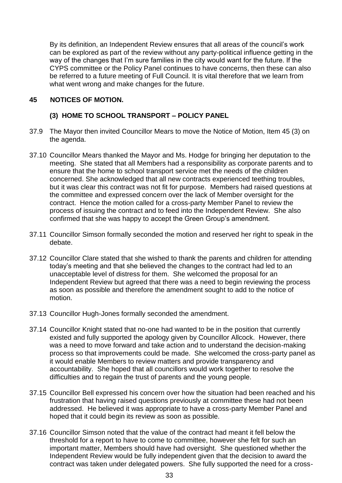By its definition, an Independent Review ensures that all areas of the council's work can be explored as part of the review without any party-political influence getting in the way of the changes that I'm sure families in the city would want for the future. If the CYPS committee or the Policy Panel continues to have concerns, then these can also be referred to a future meeting of Full Council. It is vital therefore that we learn from what went wrong and make changes for the future.

## **45 NOTICES OF MOTION.**

## **(3) HOME TO SCHOOL TRANSPORT – POLICY PANEL**

- 37.9 The Mayor then invited Councillor Mears to move the Notice of Motion, Item 45 (3) on the agenda.
- 37.10 Councillor Mears thanked the Mayor and Ms. Hodge for bringing her deputation to the meeting. She stated that all Members had a responsibility as corporate parents and to ensure that the home to school transport service met the needs of the children concerned. She acknowledged that all new contracts experienced teething troubles, but it was clear this contract was not fit for purpose. Members had raised questions at the committee and expressed concern over the lack of Member oversight for the contract. Hence the motion called for a cross-party Member Panel to review the process of issuing the contract and to feed into the Independent Review. She also confirmed that she was happy to accept the Green Group's amendment.
- 37.11 Councillor Simson formally seconded the motion and reserved her right to speak in the debate.
- 37.12 Councillor Clare stated that she wished to thank the parents and children for attending today's meeting and that she believed the changes to the contract had led to an unacceptable level of distress for them. She welcomed the proposal for an Independent Review but agreed that there was a need to begin reviewing the process as soon as possible and therefore the amendment sought to add to the notice of motion.
- 37.13 Councillor Hugh-Jones formally seconded the amendment.
- 37.14 Councillor Knight stated that no-one had wanted to be in the position that currently existed and fully supported the apology given by Councillor Allcock. However, there was a need to move forward and take action and to understand the decision-making process so that improvements could be made. She welcomed the cross-party panel as it would enable Members to review matters and provide transparency and accountability. She hoped that all councillors would work together to resolve the difficulties and to regain the trust of parents and the young people.
- 37.15 Councillor Bell expressed his concern over how the situation had been reached and his frustration that having raised questions previously at committee these had not been addressed. He believed it was appropriate to have a cross-party Member Panel and hoped that it could begin its review as soon as possible.
- 37.16 Councillor Simson noted that the value of the contract had meant it fell below the threshold for a report to have to come to committee, however she felt for such an important matter, Members should have had oversight. She questioned whether the Independent Review would be fully independent given that the decision to award the contract was taken under delegated powers. She fully supported the need for a cross-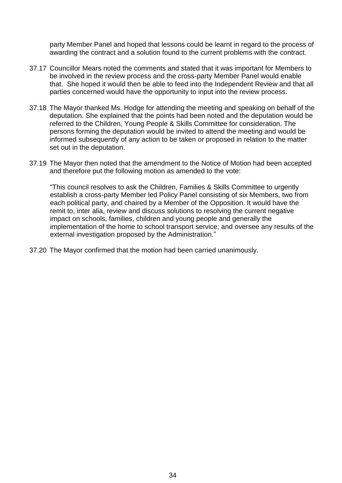party Member Panel and hoped that lessons could be learnt in regard to the process of awarding the contract and a solution found to the current problems with the contract.

- 37.17 Councillor Mears noted the comments and stated that it was important for Members to be involved in the review process and the cross-party Member Panel would enable that. She hoped it would then be able to feed into the Independent Review and that all parties concerned would have the opportunity to input into the review process.
- 37.18 The Mayor thanked Ms. Hodge for attending the meeting and speaking on behalf of the deputation. She explained that the points had been noted and the deputation would be referred to the Children, Young People & Skills Committee for consideration. The persons forming the deputation would be invited to attend the meeting and would be informed subsequently of any action to be taken or proposed in relation to the matter set out in the deputation.
- 37.19 The Mayor then noted that the amendment to the Notice of Motion had been accepted and therefore put the following motion as amended to the vote:

"This council resolves to ask the Children, Families & Skills Committee to urgently establish a cross-party Member led Policy Panel consisting of six Members, two from each political party, and chaired by a Member of the Opposition. It would have the remit to, inter alia, review and discuss solutions to resolving the current negative impact on schools, families, children and young people and generally the implementation of the home to school transport service; and oversee any results of the external investigation proposed by the Administration."

37.20 The Mayor confirmed that the motion had been carried unanimously.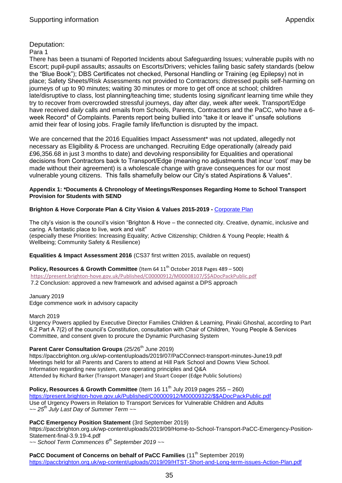## Deputation:

#### Para 1

There has been a tsunami of Reported Incidents about Safeguarding Issues; vulnerable pupils with no Escort; pupil-pupil assaults; assaults on Escorts/Drivers; vehicles failing basic safety standards (below the "Blue Book"); DBS Certificates not checked, Personal Handling or Training (eg Epilepsy) not in place; Safety Sheets/Risk Assessments not provided to Contractors; distressed pupils self-harming on journeys of up to 90 minutes; waiting 30 minutes or more to get off once at school; children late/disruptive to class, lost planning/teaching time; students losing *significant* learning time while they try to recover from overcrowded stressful journeys, day after day, week after week. Transport/Edge have received *daily* calls and emails from Schools, Parents, Contractors and the PaCC, who have a 6 week Record\* of Complaints. Parents report being bullied into "take it or leave it" unsafe solutions amid their fear of losing jobs. Fragile family life/function is disrupted by the impact.

We are concerned that the 2016 Equalities Impact Assessment\* was not updated, allegedly not necessary as Eligibility & Process are unchanged. Recruiting Edge operationally (already paid £96,356.68 in just 3 months to date) and devolving responsibility for Equalities and operational decisions from Contractors back to Transport/Edge (meaning no adjustments that incur 'cost' may be made without their agreement) is a wholescale change with grave consequences for our most vulnerable young citizens. This falls shamefully below our City's stated Aspirations & Values\*.

#### **Appendix 1: \*Documents & Chronology of Meetings/Responses Regarding Home to School Transport Provision for Students with SEND**

#### **Brighton & Hove Corporate Plan & City Vision & Values 2015-2019 -** [Corporate Plan](https://www.brighton-hove.gov.uk/sites/brighton-hove.gov.uk/files/Brighton%20%26%20Hove%20City%20Council%20Corporate%20Plan%202015-2019%20The%20way%20ahead.pdf)

The city's vision is the council's vision "Brighton & Hove – the connected city. Creative, dynamic, inclusive and caring. A fantastic place to live, work and visit" (especially these Priorities: Increasing Equality; Active Citizenship; Children & Young People; Health & Wellbeing; Community Safety & Resilience)

#### **Equalities & Impact Assessment 2016** (CS37 first written 2015, available on request)

**Policy, Resources & Growth Committee** (Item 64 11<sup>th</sup> October 2018 Pages 489 – 500) [https://present.brighton-hove.gov.uk/Published/C00000912/M00008107/\\$\\$ADocPackPublic.pdf](https://present.brighton-hove.gov.uk/Published/C00000912/M00008107/$$ADocPackPublic.pdf) 7.2 Conclusion: approved a new framework and advised against a DPS approach

January 2019 Edge commence work in advisory capacity

March 2019

Urgency Powers applied by Executive Director Families Children & Learning, Pinaki Ghoshal, according to Part 6.2 Part A 7(2) of the council's Constitution, consultation with Chair of Children, Young People & Services Committee, and consent given to procure the Dynamic Purchasing System

## **Parent Carer Consultation Groups** (25/26<sup>th</sup> June 2019)

https://paccbrighton.org.uk/wp-content/uploads/2019/07/PaCConnect-transport-minutes-June19.pdf Meetings held for all Parents and Carers to attend at Hill Park School and Downs View School. Information regarding new system, core operating principles and Q&A Attended by Richard Barker (Transport Manager) and Stuart Cooper (Edge Public Solutions)

**Policy, Resources & Growth Committee** (Item 16 11<sup>th</sup> July 2019 pages 255 – 260) [https://present.brighton-hove.gov.uk/Published/C00000912/M00009322/\\$\\$ADocPackPublic.pdf](https://present.brighton-hove.gov.uk/Published/C00000912/M00009322/$$ADocPackPublic.pdf) Use of Urgency Powers in Relation to Transport Services for Vulnerable Children and Adults *~~ 25th July Last Day of Summer Term ~~*

#### **PaCC Emergency Position Statement** (3rd September 2019)

https://paccbrighton.org.uk/wp-content/uploads/2019/09/Home-to-School-Transport-PaCC-Emergency-Position-Statement-final-3.9.19-4.pdf

*~~ School Term Commences 6th September 2019 ~~*

**PaCC Document of Concerns on behalf of PaCC Families** (11<sup>th</sup> September 2019)